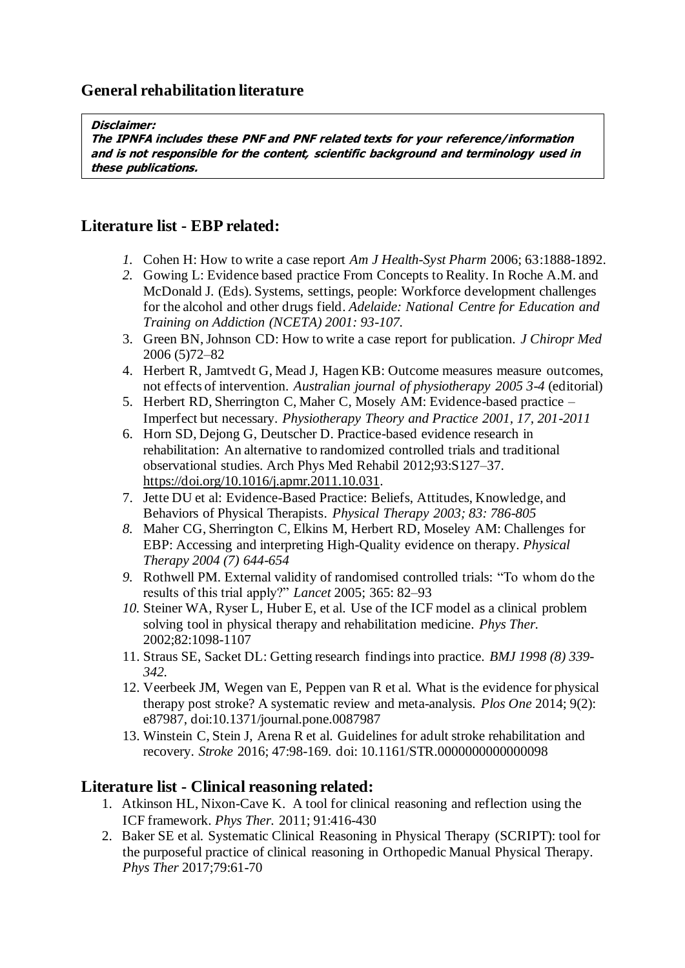#### **Disclaimer:**

**The IPNFA includes these PNF and PNF related texts for your reference/information and is not responsible for the content, scientific background and terminology used in these publications.**

# **Literature list - EBP related:**

- *1.* Cohen H: How to write a case report *Am J Health-Syst Pharm* 2006; 63:1888-1892.
- *2.* Gowing L: Evidence based practice From Concepts to Reality. In Roche A.M. and McDonald J. (Eds). Systems, settings, people: Workforce development challenges for the alcohol and other drugs field. *Adelaide: National Centre for Education and Training on Addiction (NCETA) 2001: 93-107.*
- 3. Green BN, Johnson CD: How to write a case report for publication. *J Chiropr Med* 2006 (5)72–82
- 4. Herbert R, Jamtvedt G, Mead J, Hagen KB: Outcome measures measure outcomes, not effects of intervention. *Australian journal of physiotherapy 2005 3-4* (editorial)
- 5. Herbert RD, Sherrington C, Maher C, Mosely AM: Evidence-based practice Imperfect but necessary. *Physiotherapy Theory and Practice 2001, 17, 201-2011*
- 6. Horn SD, Dejong G, Deutscher D. Practice-based evidence research in rehabilitation: An alternative to randomized controlled trials and traditional observational studies. Arch Phys Med Rehabil 2012;93:S127–37. [https://doi.org/10.1016/j.apmr.2011.10.031.](https://doi.org/10.1016/j.apmr.2011.10.031)
- 7. Jette DU et al: Evidence-Based Practice: Beliefs, Attitudes, Knowledge, and Behaviors of Physical Therapists. *Physical Therapy 2003; 83: 786-805*
- *8.* Maher CG, Sherrington C, Elkins M, Herbert RD, Moseley AM: Challenges for EBP: Accessing and interpreting High-Quality evidence on therapy. *Physical Therapy 2004 (7) 644-654*
- *9.* Rothwell PM. External validity of randomised controlled trials: "To whom do the results of this trial apply?" *Lancet* 2005; 365: 82–93
- *10.* Steiner WA, Ryser L, Huber E, et al. Use of the ICF model as a clinical problem solving tool in physical therapy and rehabilitation medicine. *Phys Ther.*  2002;82:1098-1107
- 11. Straus SE, Sacket DL: Getting research findings into practice. *BMJ 1998 (8) 339- 342.*
- 12. Veerbeek JM, Wegen van E, Peppen van R et al. What is the evidence for physical therapy post stroke? A systematic review and meta-analysis. *Plos One* 2014; 9(2): e87987, doi:10.1371/journal.pone.0087987
- 13. Winstein C, Stein J, Arena R et al. Guidelines for adult stroke rehabilitation and recovery. *Stroke* 2016; 47:98-169. doi: 10.1161/STR.0000000000000098

### **Literature list - Clinical reasoning related:**

- 1. Atkinson HL, Nixon-Cave K. A tool for clinical reasoning and reflection using the ICF framework. *Phys Ther.* 2011; 91:416-430
- 2. Baker SE et al. Systematic Clinical Reasoning in Physical Therapy (SCRIPT): tool for the purposeful practice of clinical reasoning in Orthopedic Manual Physical Therapy. *Phys Ther* 2017;79:61-70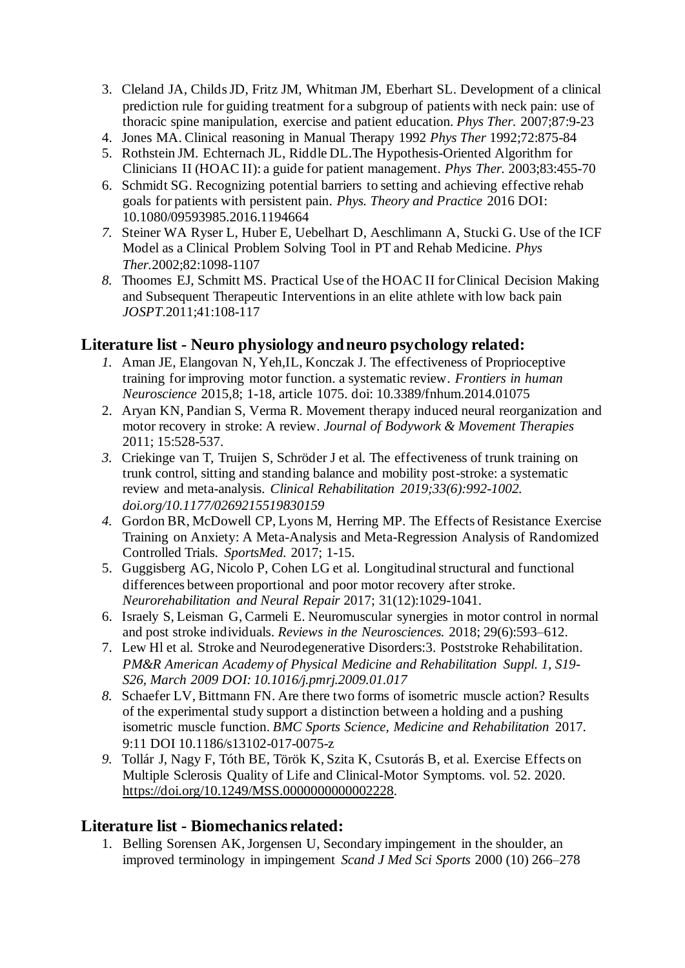- 3. Cleland JA, Childs JD, Fritz JM, Whitman JM, Eberhart SL. Development of a clinical prediction rule for guiding treatment for a subgroup of patients with neck pain: use of thoracic spine manipulation, exercise and patient education. *Phys Ther.* 2007;87:9-23
- 4. Jones MA. Clinical reasoning in Manual Therapy 1992 *Phys Ther* 1992;72:875-84
- 5. Rothstein JM. Echternach JL, Riddle DL.The Hypothesis-Oriented Algorithm for Clinicians II (HOAC II): a guide for patient management. *Phys Ther.* 2003;83:455-70
- 6. Schmidt SG. Recognizing potential barriers to setting and achieving effective rehab goals for patients with persistent pain. *Phys. Theory and Practice* 2016 DOI: 10.1080/09593985.2016.1194664
- *7.* Steiner WA Ryser L, Huber E, Uebelhart D, Aeschlimann A, Stucki G. Use of the ICF Model as a Clinical Problem Solving Tool in PT and Rehab Medicine. *Phys Ther.*2002;82:1098-1107
- *8.* Thoomes EJ, Schmitt MS. Practical Use of the HOAC II for Clinical Decision Making and Subsequent Therapeutic Interventions in an elite athlete with low back pain *JOSPT*.2011;41:108-117

# **Literature list - Neuro physiology and neuro psychology related:**

- *1.* Aman JE, Elangovan N, Yeh,IL, Konczak J. The effectiveness of Proprioceptive training for improving motor function. a systematic review*. Frontiers in human Neuroscience* 2015,8; 1-18, article 1075. doi: 10.3389/fnhum.2014.01075
- 2. Aryan KN, Pandian S, Verma R. Movement therapy induced neural reorganization and motor recovery in stroke: A review. *Journal of Bodywork & Movement Therapies* 2011; 15:528-537.
- *3.* Criekinge van T, Truijen S, Schröder J et al. The effectiveness of trunk training on trunk control, sitting and standing balance and mobility post-stroke: a systematic review and meta-analysis. *Clinical Rehabilitation 2019;33(6):992-1002. doi.org/10.1177/0269215519830159*
- *4.* Gordon BR, McDowell CP, Lyons M, Herring MP. The Effects of Resistance Exercise Training on Anxiety: A Meta-Analysis and Meta-Regression Analysis of Randomized Controlled Trials*. SportsMed.* 2017; 1-15.
- 5. Guggisberg AG, Nicolo P, Cohen LG et al. Longitudinal structural and functional differences between proportional and poor motor recovery after stroke. *Neurorehabilitation and Neural Repair* 2017; 31(12):1029-1041.
- 6. Israely S, Leisman G, Carmeli E. Neuromuscular synergies in motor control in normal and post stroke individuals. *Reviews in the Neurosciences.* 2018; 29(6):593–612.
- 7. Lew Hl et al. Stroke and Neurodegenerative Disorders:3. Poststroke Rehabilitation. *PM&R American Academy of Physical Medicine and Rehabilitation Suppl. 1, S19- S26, March 2009 DOI: 10.1016/j.pmrj.2009.01.017*
- *8.* Schaefer LV, Bittmann FN. Are there two forms of isometric muscle action? Results of the experimental study support a distinction between a holding and a pushing isometric muscle function. *BMC Sports Science, Medicine and Rehabilitation* 2017. 9:11 DOI 10.1186/s13102-017-0075-z
- *9.* Tollár J, Nagy F, Tóth BE, Török K, Szita K, Csutorás B, et al. Exercise Effects on Multiple Sclerosis Quality of Life and Clinical-Motor Symptoms. vol. 52. 2020. [https://doi.org/10.1249/MSS.0000000000002228.](https://doi.org/10.1249/MSS.0000000000002228)

### **Literature list - Biomechanics related:**

1. Belling Sorensen AK, Jorgensen U, Secondary impingement in the shoulder, an improved terminology in impingement *Scand J Med Sci Sports* 2000 (10) 266–278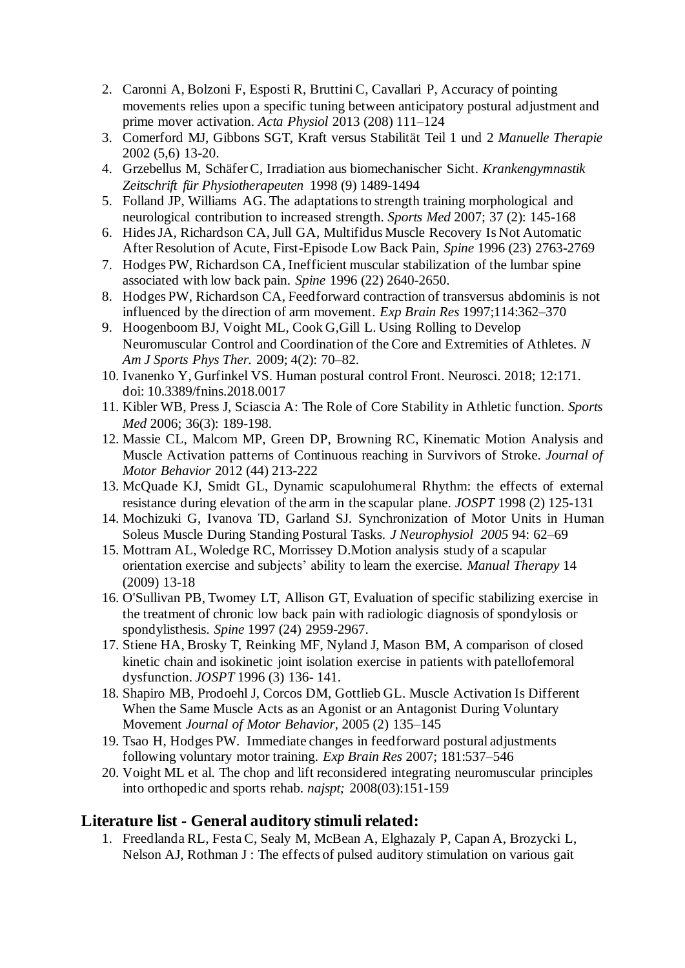- 2. Caronni A, Bolzoni F, Esposti R, Bruttini C, Cavallari P, Accuracy of pointing movements relies upon a specific tuning between anticipatory postural adjustment and prime mover activation. *Acta Physiol* 2013 (208) 111–124
- 3. Comerford MJ, Gibbons SGT, Kraft versus Stabilität Teil 1 und 2 *Manuelle Therapie*  2002 (5,6) 13-20.
- 4. Grzebellus M, Schäfer C, Irradiation aus biomechanischer Sicht. *Krankengymnastik Zeitschrift für Physiotherapeuten* 1998 (9) 1489-1494
- 5. Folland JP, Williams AG. The adaptations to strength training morphological and neurological contribution to increased strength. *Sports Med* 2007; 37 (2): 145-168
- 6. Hides JA, Richardson CA, Jull GA, Multifidus Muscle Recovery Is Not Automatic After Resolution of Acute, First-Episode Low Back Pain, *Spine* 1996 (23) 2763-2769
- 7. Hodges PW, Richardson CA, Inefficient muscular stabilization of the lumbar spine associated with low back pain. *Spine* 1996 (22) 2640-2650.
- 8. Hodges PW, Richardson CA, Feedforward contraction of transversus abdominis is not influenced by the direction of arm movement. *Exp Brain Res* 1997;114:362–370
- 9. Hoogenboom BJ, Voight ML, Cook G,Gill L. Using Rolling to Develop Neuromuscular Control and Coordination of the Core and Extremities of Athletes. *N Am J Sports Phys Ther.* 2009; 4(2): 70–82.
- 10. Ivanenko Y, Gurfinkel VS. Human postural control Front. Neurosci. 2018; 12:171. doi: 10.3389/fnins.2018.0017
- 11. Kibler WB, Press J, Sciascia A: The Role of Core Stability in Athletic function. *Sports Med* 2006; 36(3): 189-198.
- 12. Massie CL, Malcom MP, Green DP, Browning RC, Kinematic Motion Analysis and Muscle Activation patterns of Continuous reaching in Survivors of Stroke*. Journal of Motor Behavior* 2012 (44) 213-222
- 13. McQuade KJ, Smidt GL, Dynamic scapulohumeral Rhythm: the effects of external resistance during elevation of the arm in the scapular plane. *JOSPT* 1998 (2) 125-131
- 14. Mochizuki G, Ivanova TD, Garland SJ. Synchronization of Motor Units in Human Soleus Muscle During Standing Postural Tasks. *J Neurophysiol 2005* 94: 62–69
- 15. Mottram AL, Woledge RC, Morrissey D.Motion analysis study of a scapular orientation exercise and subjects' ability to learn the exercise. *Manual Therapy* 14 (2009) 13-18
- 16. O'Sullivan PB, Twomey LT, Allison GT, Evaluation of specific stabilizing exercise in the treatment of chronic low back pain with radiologic diagnosis of spondylosis or spondylisthesis. *Spine* 1997 (24) 2959-2967.
- 17. Stiene HA, Brosky T, Reinking MF, Nyland J, Mason BM, A comparison of closed kinetic chain and isokinetic joint isolation exercise in patients with patellofemoral dysfunction. *JOSPT* 1996 (3) 136- 141.
- 18. Shapiro MB, Prodoehl J, Corcos DM, Gottlieb GL. Muscle Activation Is Different When the Same Muscle Acts as an Agonist or an Antagonist During Voluntary Movement *Journal of Motor Behavior*, 2005 (2) 135–145
- 19. Tsao H, Hodges PW. Immediate changes in feedforward postural adjustments following voluntary motor training. *Exp Brain Res* 2007; 181:537–546
- 20. Voight ML et al. The chop and lift reconsidered integrating neuromuscular principles into orthopedic and sports rehab*. najspt;* 2008(03):151-159

### **Literature list - General auditory stimuli related:**

1. Freedlanda RL, Festa C, Sealy M, McBean A, Elghazaly P, Capan A, Brozycki L, Nelson AJ, Rothman J : The effects of pulsed auditory stimulation on various gait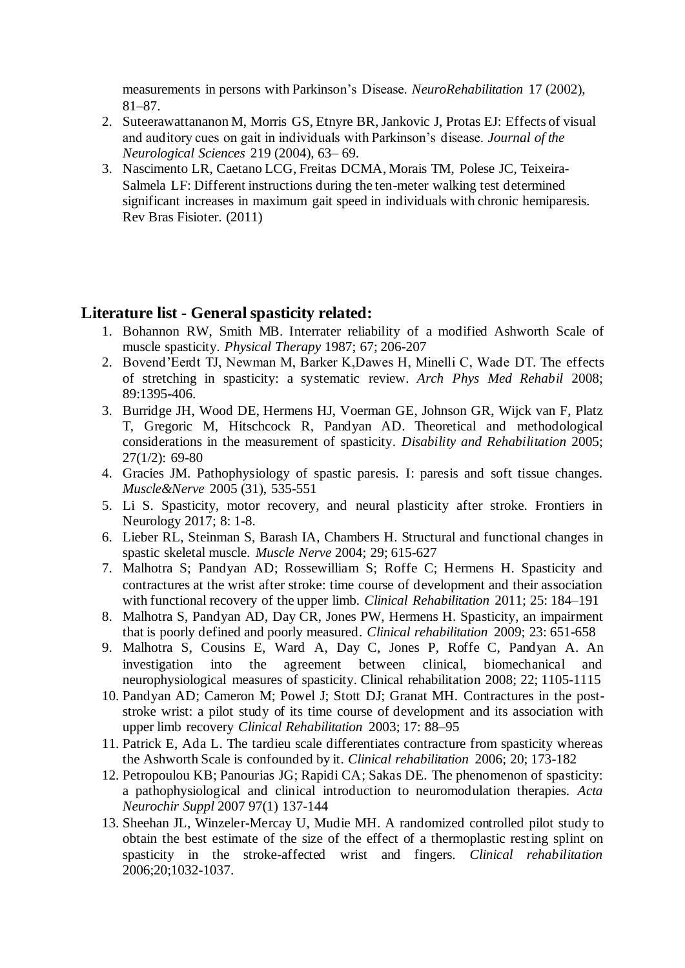measurements in persons with Parkinson's Disease. *NeuroRehabilitation* 17 (2002), 81–87.

- 2. Suteerawattananon M, Morris GS, Etnyre BR, Jankovic J, Protas EJ: Effects of visual and auditory cues on gait in individuals with Parkinson's disease. *Journal of the Neurological Sciences* 219 (2004), 63– 69.
- 3. Nascimento LR, Caetano LCG, Freitas DCMA, Morais TM, Polese JC, Teixeira-Salmela LF: Different instructions during the ten-meter walking test determined significant increases in maximum gait speed in individuals with chronic hemiparesis. Rev Bras Fisioter. (2011)

#### **Literature list - General spasticity related:**

- 1. Bohannon RW, Smith MB. Interrater reliability of a modified Ashworth Scale of muscle spasticity. *Physical Therapy* 1987; 67; 206-207
- 2. Bovend'Eerdt TJ, Newman M, Barker K,Dawes H, Minelli C, Wade DT. The effects of stretching in spasticity: a systematic review. *Arch Phys Med Rehabil* 2008; 89:1395-406.
- 3. Burridge JH, Wood DE, Hermens HJ, Voerman GE, Johnson GR, Wijck van F, Platz T, Gregoric M, Hitschcock R, Pandyan AD. Theoretical and methodological considerations in the measurement of spasticity. *Disability and Rehabilitation* 2005; 27(1/2): 69-80
- 4. Gracies JM. Pathophysiology of spastic paresis. I: paresis and soft tissue changes. *Muscle&Nerve* 2005 (31), 535-551
- 5. Li S. Spasticity, motor recovery, and neural plasticity after stroke. Frontiers in Neurology 2017; 8: 1-8.
- 6. Lieber RL, Steinman S, Barash IA, Chambers H. Structural and functional changes in spastic skeletal muscle. *Muscle Nerve* 2004; 29; 615-627
- 7. Malhotra S; Pandyan AD; Rossewilliam S; Roffe C; Hermens H. Spasticity and contractures at the wrist after stroke: time course of development and their association with functional recovery of the upper limb. *Clinical Rehabilitation* 2011; 25: 184–191
- 8. Malhotra S, Pandyan AD, Day CR, Jones PW, Hermens H. Spasticity, an impairment that is poorly defined and poorly measured. *Clinical rehabilitation* 2009; 23: 651-658
- 9. Malhotra S, Cousins E, Ward A, Day C, Jones P, Roffe C, Pandyan A. An investigation into the agreement between clinical, biomechanical and neurophysiological measures of spasticity. Clinical rehabilitation 2008; 22; 1105-1115
- 10. Pandyan AD; Cameron M; Powel J; Stott DJ; Granat MH. Contractures in the poststroke wrist: a pilot study of its time course of development and its association with upper limb recovery *Clinical Rehabilitation* 2003; 17: 88–95
- 11. Patrick E, Ada L. The tardieu scale differentiates contracture from spasticity whereas the Ashworth Scale is confounded by it. *Clinical rehabilitation* 2006; 20; 173-182
- 12. Petropoulou KB; Panourias JG; Rapidi CA; Sakas DE. The phenomenon of spasticity: a pathophysiological and clinical introduction to neuromodulation therapies. *Acta Neurochir Suppl* 2007 97(1) 137-144
- 13. Sheehan JL, Winzeler-Mercay U, Mudie MH. A randomized controlled pilot study to obtain the best estimate of the size of the effect of a thermoplastic resting splint on spasticity in the stroke-affected wrist and fingers. *Clinical rehabilitation* 2006;20;1032-1037.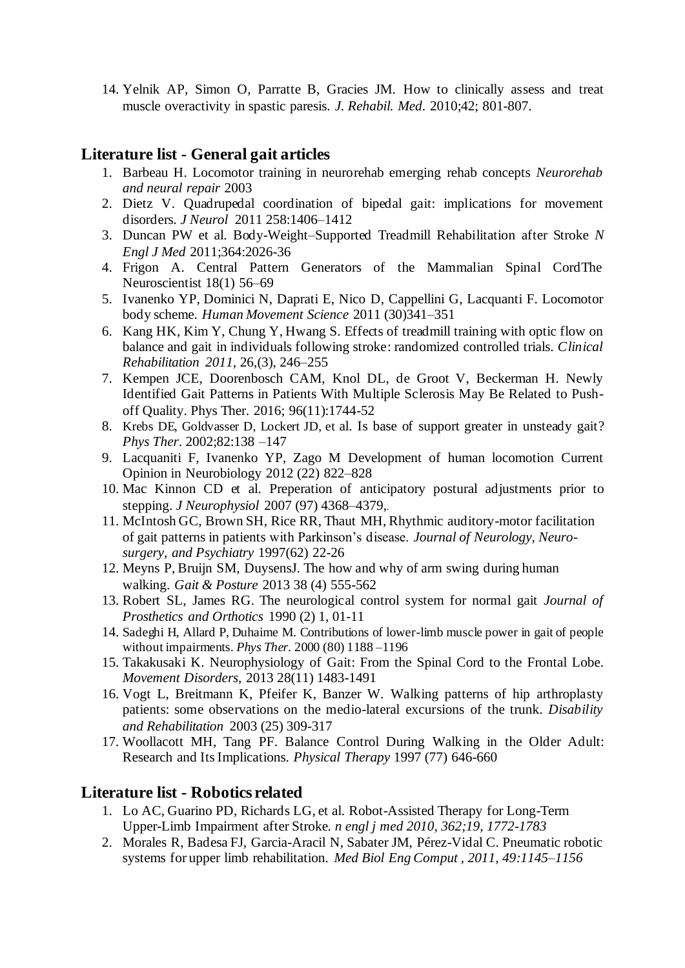14. Yelnik AP, Simon O, Parratte B, Gracies JM. How to clinically assess and treat muscle overactivity in spastic paresis. *J. Rehabil. Med*. 2010;42; 801-807.

# **Literature list - General gait articles**

- 1. Barbeau H. Locomotor training in neurorehab emerging rehab concepts *Neurorehab and neural repair* 2003
- 2. Dietz V. Quadrupedal coordination of bipedal gait: implications for movement disorders*. J Neurol* 2011 258:1406–1412
- 3. Duncan PW et al. Body-Weight–Supported Treadmill Rehabilitation after Stroke *N Engl J Med* 2011;364:2026-36
- 4. Frigon A. Central Pattern Generators of the Mammalian Spinal CordThe Neuroscientist 18(1) 56–69
- 5. Ivanenko YP, Dominici N, Daprati E, Nico D, Cappellini G, Lacquanti F. Locomotor body scheme. *Human Movement Science* 2011 (30)341–351
- 6. Kang HK, Kim Y, Chung Y, Hwang S. Effects of treadmill training with optic flow on balance and gait in individuals following stroke: randomized controlled trials. *Clinical Rehabilitation 2011,* 26,(3), 246–255
- 7. Kempen JCE, Doorenbosch CAM, Knol DL, de Groot V, Beckerman H. Newly Identified Gait Patterns in Patients With Multiple Sclerosis May Be Related to Pushoff Quality. Phys Ther. 2016; 96(11):1744-52
- 8. Krebs DE, Goldvasser D, Lockert JD, et al. Is base of support greater in unsteady gait? *Phys Ther*. 2002;82:138 –147
- 9. Lacquaniti F, Ivanenko YP, Zago M Development of human locomotion Current Opinion in Neurobiology 2012 (22) 822–828
- 10. Mac Kinnon CD et al. Preperation of anticipatory postural adjustments prior to stepping. *J Neurophysiol* 2007 (97) 4368–4379,.
- 11. McIntosh GC, Brown SH, Rice RR, Thaut MH, Rhythmic auditory-motor facilitation of gait patterns in patients with Parkinson's disease. *Journal of Neurology, Neurosurgery, and Psychiatry* 1997(62) 22-26
- 12. Meyns P, Bruijn SM, DuysensJ. The how and why of arm swing during human walking. *Gait & Posture* 2013 38 (4) 555-562
- 13. Robert SL, James RG. The neurological control system for normal gait *Journal of Prosthetics and Orthotics* 1990 (2) 1, 01-11
- 14. Sadeghi H, Allard P, Duhaime M. Contributions of lower-limb muscle power in gait of people without impairments. *Phys Ther.* 2000 (80) 1188 –1196
- 15. Takakusaki K. Neurophysiology of Gait: From the Spinal Cord to the Frontal Lobe. *Movement Disorders*, 2013 28(11) 1483-1491
- 16. Vogt L, Breitmann K, Pfeifer K, Banzer W. Walking patterns of hip arthroplasty patients: some observations on the medio-lateral excursions of the trunk. *Disability and Rehabilitation* 2003 (25) 309-317
- 17. Woollacott MH, Tang PF. Balance Control During Walking in the Older Adult: Research and Its Implications. *Physical Therapy* 1997 (77) 646-660

### **Literature list - Robotics related**

- 1. Lo AC, Guarino PD, Richards LG, et al. Robot-Assisted Therapy for Long-Term Upper-Limb Impairment after Stroke*. n engl j med 2010, 362;19, 1772-1783*
- 2. Morales R, Badesa FJ, Garcia-Aracil N, Sabater JM, Pérez-Vidal C. Pneumatic robotic systems for upper limb rehabilitation. *Med Biol Eng Comput , 2011, 49:1145–1156*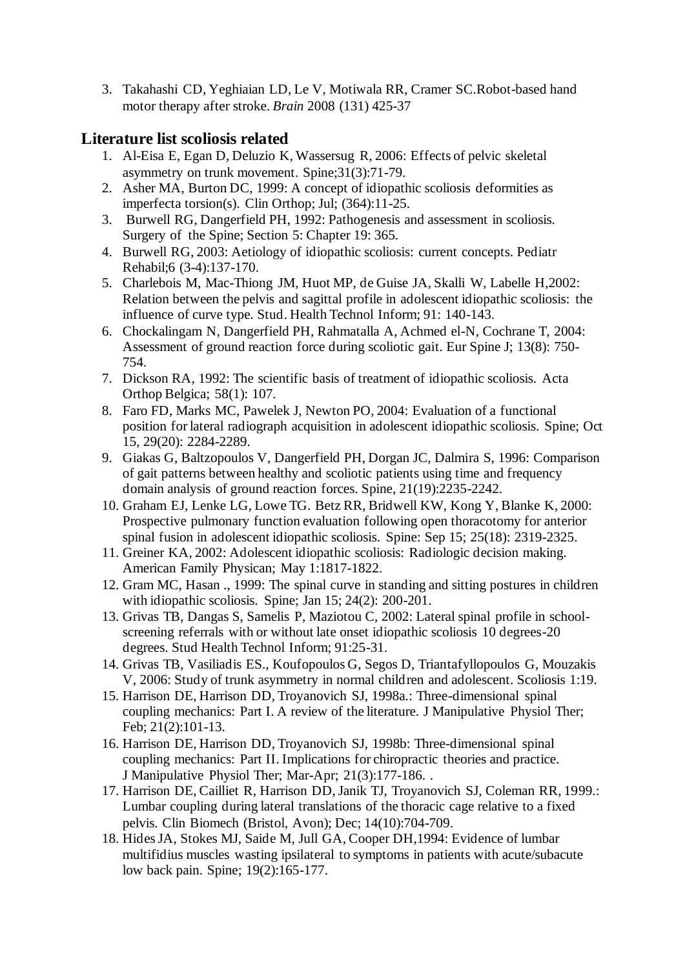3. Takahashi CD, Yeghiaian LD, Le V, Motiwala RR, Cramer SC.Robot-based hand motor therapy after stroke. *Brain* 2008 (131) 425-37

# **Literature list scoliosis related**

- 1. Al-Eisa E, Egan D, Deluzio K, Wassersug R, 2006: Effects of pelvic skeletal asymmetry on trunk movement. Spine;31(3):71-79.
- 2. Asher MA, Burton DC, 1999: A concept of idiopathic scoliosis deformities as imperfecta torsion(s). Clin Orthop; Jul; (364):11-25.
- 3. Burwell RG, Dangerfield PH, 1992: Pathogenesis and assessment in scoliosis. Surgery of the Spine; Section 5: Chapter 19: 365.
- 4. Burwell RG, 2003: Aetiology of idiopathic scoliosis: current concepts. Pediatr Rehabil;6 (3-4):137-170.
- 5. Charlebois M, Mac-Thiong JM, Huot MP, de Guise JA, Skalli W, Labelle H,2002: Relation between the pelvis and sagittal profile in adolescent idiopathic scoliosis: the influence of curve type. Stud. Health Technol Inform; 91: 140-143.
- 6. Chockalingam N, Dangerfield PH, Rahmatalla A, Achmed el-N, Cochrane T, 2004: Assessment of ground reaction force during scoliotic gait. Eur Spine J; 13(8): 750- 754.
- 7. Dickson RA, 1992: The scientific basis of treatment of idiopathic scoliosis. Acta Orthop Belgica; 58(1): 107.
- 8. Faro FD, Marks MC, Pawelek J, Newton PO, 2004: Evaluation of a functional position for lateral radiograph acquisition in adolescent idiopathic scoliosis. Spine; Oct 15, 29(20): 2284-2289.
- 9. Giakas G, Baltzopoulos V, Dangerfield PH, Dorgan JC, Dalmira S, 1996: Comparison of gait patterns between healthy and scoliotic patients using time and frequency domain analysis of ground reaction forces. Spine, 21(19):2235-2242.
- 10. Graham EJ, Lenke LG, Lowe TG. Betz RR, Bridwell KW, Kong Y, Blanke K, 2000: Prospective pulmonary function evaluation following open thoracotomy for anterior spinal fusion in adolescent idiopathic scoliosis. Spine: Sep 15; 25(18): 2319-2325.
- 11. Greiner KA, 2002: Adolescent idiopathic scoliosis: Radiologic decision making. American Family Physican; May 1:1817-1822.
- 12. Gram MC, Hasan ., 1999: The spinal curve in standing and sitting postures in children with idiopathic scoliosis. Spine; Jan 15; 24(2): 200-201.
- 13. Grivas TB, Dangas S, Samelis P, Maziotou C, 2002: Lateral spinal profile in schoolscreening referrals with or without late onset idiopathic scoliosis 10 degrees-20 degrees. Stud Health Technol Inform; 91:25-31.
- 14. Grivas TB, Vasiliadis ES., Koufopoulos G, Segos D, Triantafyllopoulos G, Mouzakis V, 2006: Study of trunk asymmetry in normal children and adolescent. Scoliosis 1:19.
- 15. Harrison DE, Harrison DD, Troyanovich SJ, 1998a.: Three-dimensional spinal coupling mechanics: Part I. A review of the literature. J Manipulative Physiol Ther; Feb; 21(2):101-13.
- 16. Harrison DE, Harrison DD, Troyanovich SJ, 1998b: Three-dimensional spinal coupling mechanics: Part II. Implications for chiropractic theories and practice. J Manipulative Physiol Ther; Mar-Apr; 21(3):177-186. .
- 17. Harrison DE, Cailliet R, Harrison DD, Janik TJ, Troyanovich SJ, Coleman RR, 1999.: Lumbar coupling during lateral translations of the thoracic cage relative to a fixed pelvis. Clin Biomech (Bristol, Avon); Dec; 14(10):704-709.
- 18. Hides JA, Stokes MJ, Saide M, Jull GA, Cooper DH,1994: Evidence of lumbar multifidius muscles wasting ipsilateral to symptoms in patients with acute/subacute low back pain. Spine; 19(2):165-177.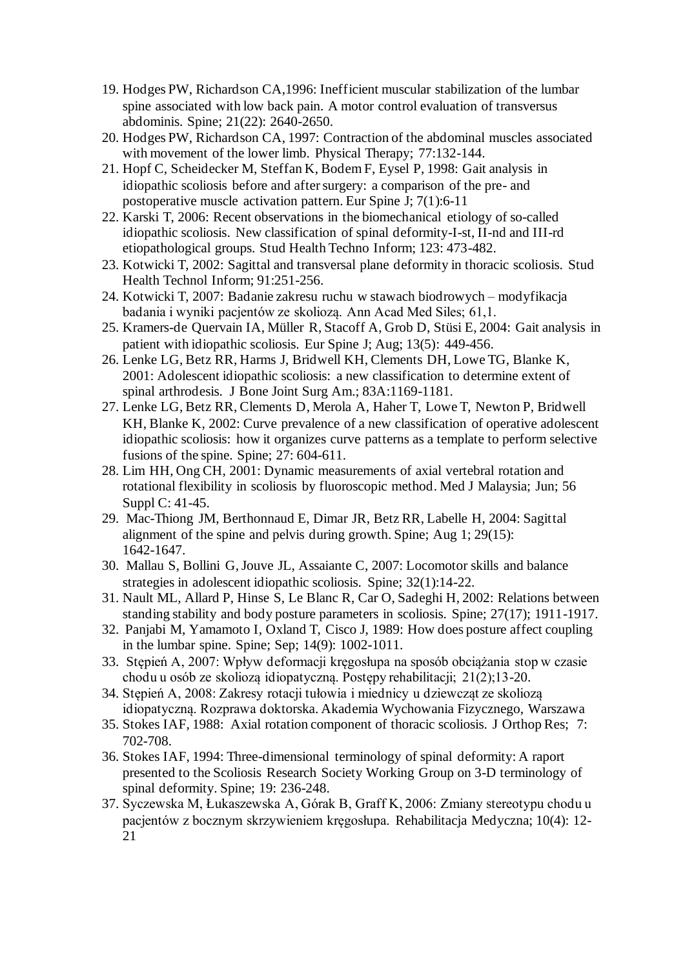- 19. Hodges PW, Richardson CA,1996: Inefficient muscular stabilization of the lumbar spine associated with low back pain. A motor control evaluation of transversus abdominis. Spine; 21(22): 2640-2650.
- 20. Hodges PW, Richardson CA, 1997: Contraction of the abdominal muscles associated with movement of the lower limb. Physical Therapy; 77:132-144.
- 21. Hopf C, Scheidecker M, Steffan K, Bodem F, Eysel P, 1998: Gait analysis in idiopathic scoliosis before and after surgery: a comparison of the pre- and postoperative muscle activation pattern. Eur Spine J; 7(1):6-11
- 22. Karski T, 2006: Recent observations in the biomechanical etiology of so-called idiopathic scoliosis. New classification of spinal deformity-I-st, II-nd and III-rd etiopathological groups. Stud Health Techno Inform; 123: 473-482.
- 23. Kotwicki T, 2002: Sagittal and transversal plane deformity in thoracic scoliosis. Stud Health Technol Inform; 91:251-256.
- 24. Kotwicki T, 2007: Badanie zakresu ruchu w stawach biodrowych modyfikacja badania i wyniki pacjentów ze skoliozą. Ann Acad Med Siles; 61,1.
- 25. Kramers-de Quervain IA, Müller R, Stacoff A, Grob D, Stüsi E, 2004: Gait analysis in patient with idiopathic scoliosis. Eur Spine J; Aug; 13(5): 449-456.
- 26. Lenke LG, Betz RR, Harms J, Bridwell KH, Clements DH, Lowe TG, Blanke K, 2001: Adolescent idiopathic scoliosis: a new classification to determine extent of spinal arthrodesis. J Bone Joint Surg Am.; 83A:1169-1181.
- 27. Lenke LG, Betz RR, Clements D, Merola A, Haher T, Lowe T, Newton P, Bridwell KH, Blanke K, 2002: Curve prevalence of a new classification of operative adolescent idiopathic scoliosis: how it organizes curve patterns as a template to perform selective fusions of the spine. Spine; 27: 604-611.
- 28. Lim HH, Ong CH, 2001: Dynamic measurements of axial vertebral rotation and rotational flexibility in scoliosis by fluoroscopic method. Med J Malaysia; Jun; 56 Suppl C: 41-45.
- 29. Mac-Thiong JM, Berthonnaud E, Dimar JR, Betz RR, Labelle H, 2004: Sagittal alignment of the spine and pelvis during growth. Spine; Aug 1; 29(15): 1642-1647.
- 30. Mallau S, Bollini G, Jouve JL, Assaiante C, 2007: Locomotor skills and balance strategies in adolescent idiopathic scoliosis. Spine; 32(1):14-22.
- 31. Nault ML, Allard P, Hinse S, Le Blanc R, Car O, Sadeghi H, 2002: Relations between standing stability and body posture parameters in scoliosis. Spine; 27(17); 1911-1917.
- 32. Panjabi M, Yamamoto I, Oxland T, Cisco J, 1989: How does posture affect coupling in the lumbar spine. Spine; Sep; 14(9): 1002-1011.
- 33. Stępień A, 2007: Wpływ deformacji kręgosłupa na sposób obciążania stop w czasie chodu u osób ze skoliozą idiopatyczną. Postępy rehabilitacji; 21(2);13-20.
- 34. Stępień A, 2008: Zakresy rotacji tułowia i miednicy u dziewcząt ze skoliozą idiopatyczną. Rozprawa doktorska. Akademia Wychowania Fizycznego, Warszawa
- 35. Stokes IAF, 1988: Axial rotation component of thoracic scoliosis. J Orthop Res; 7: 702-708.
- 36. Stokes IAF, 1994: Three-dimensional terminology of spinal deformity: A raport presented to the Scoliosis Research Society Working Group on 3-D terminology of spinal deformity. Spine; 19: 236-248.
- 37. Syczewska M, Łukaszewska A, Górak B, Graff K, 2006: Zmiany stereotypu chodu u pacjentów z bocznym skrzywieniem kręgosłupa. Rehabilitacja Medyczna; 10(4): 12- 21